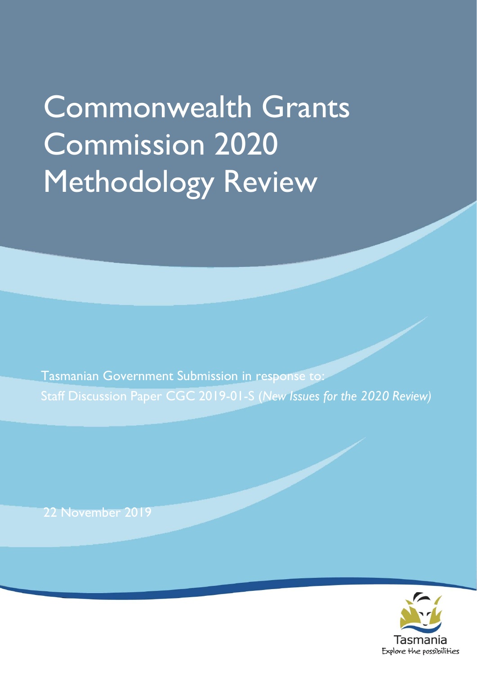# Commonwealth Grants Commission 2020 Methodology Review

Tasmanian Government Submission in response to: Staff Discussion Paper CGC 2019-01-S (*New Issues for the 2020 Review)*

22 November 2019

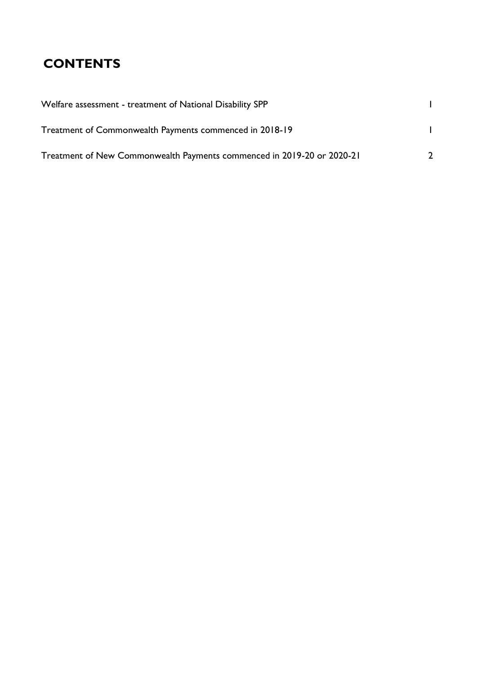## **CONTENTS**

| Welfare assessment - treatment of National Disability SPP              |               |
|------------------------------------------------------------------------|---------------|
| Treatment of Commonwealth Payments commenced in 2018-19                |               |
| Treatment of New Commonwealth Payments commenced in 2019-20 or 2020-21 | $\mathcal{D}$ |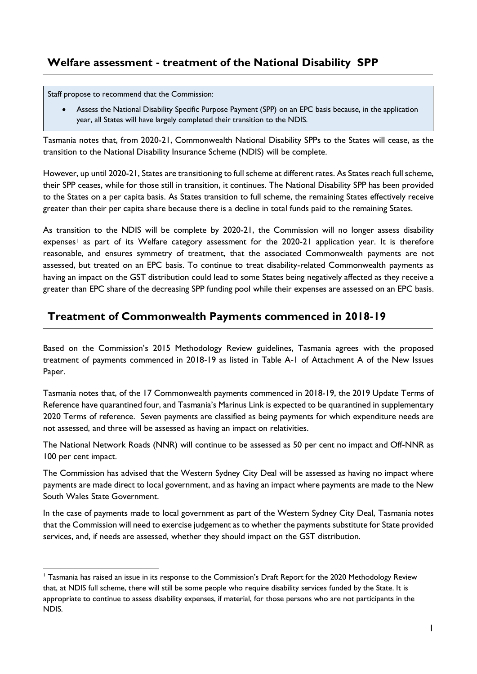#### <span id="page-4-0"></span>**Welfare assessment - treatment of the National Disability SPP**

Staff propose to recommend that the Commission:

 $\overline{a}$ 

 Assess the National Disability Specific Purpose Payment (SPP) on an EPC basis because, in the application year, all States will have largely completed their transition to the NDIS.

Tasmania notes that, from 2020-21, Commonwealth National Disability SPPs to the States will cease, as the transition to the National Disability Insurance Scheme (NDIS) will be complete.

However, up until 2020-21, States are transitioning to full scheme at different rates. As States reach full scheme, their SPP ceases, while for those still in transition, it continues. The National Disability SPP has been provided to the States on a per capita basis. As States transition to full scheme, the remaining States effectively receive greater than their per capita share because there is a decline in total funds paid to the remaining States.

As transition to the NDIS will be complete by 2020-21, the Commission will no longer assess disability expenses<sup>1</sup> as part of its Welfare category assessment for the 2020-21 application year. It is therefore reasonable, and ensures symmetry of treatment, that the associated Commonwealth payments are not assessed, but treated on an EPC basis. To continue to treat disability-related Commonwealth payments as having an impact on the GST distribution could lead to some States being negatively affected as they receive a greater than EPC share of the decreasing SPP funding pool while their expenses are assessed on an EPC basis.

#### <span id="page-4-1"></span>**Treatment of Commonwealth Payments commenced in 2018-19**

Based on the Commission's 2015 Methodology Review guidelines, Tasmania agrees with the proposed treatment of payments commenced in 2018-19 as listed in Table A-1 of Attachment A of the New Issues Paper.

Tasmania notes that, of the 17 Commonwealth payments commenced in 2018-19, the 2019 Update Terms of Reference have quarantined four, and Tasmania's Marinus Link is expected to be quarantined in supplementary 2020 Terms of reference. Seven payments are classified as being payments for which expenditure needs are not assessed, and three will be assessed as having an impact on relativities.

The National Network Roads (NNR) will continue to be assessed as 50 per cent no impact and Off-NNR as 100 per cent impact.

The Commission has advised that the Western Sydney City Deal will be assessed as having no impact where payments are made direct to local government, and as having an impact where payments are made to the New South Wales State Government.

In the case of payments made to local government as part of the Western Sydney City Deal, Tasmania notes that the Commission will need to exercise judgement as to whether the payments substitute for State provided services, and, if needs are assessed, whether they should impact on the GST distribution.

<sup>&</sup>lt;sup>1</sup> Tasmania has raised an issue in its response to the Commission's Draft Report for the 2020 Methodology Review that, at NDIS full scheme, there will still be some people who require disability services funded by the State. It is appropriate to continue to assess disability expenses, if material, for those persons who are not participants in the NDIS.